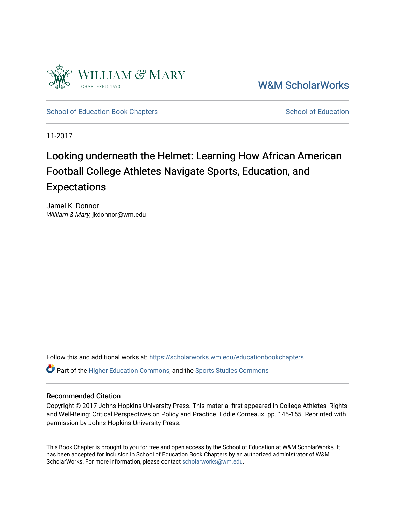

[W&M ScholarWorks](https://scholarworks.wm.edu/) 

[School of Education Book Chapters](https://scholarworks.wm.edu/educationbookchapters) [School of Education](https://scholarworks.wm.edu/education) School of Education

11-2017

#### Looking underneath the Helmet: Learning How African American Football College Athletes Navigate Sports, Education, and Expectations

Jamel K. Donnor William & Mary, jkdonnor@wm.edu

Follow this and additional works at: [https://scholarworks.wm.edu/educationbookchapters](https://scholarworks.wm.edu/educationbookchapters?utm_source=scholarworks.wm.edu%2Feducationbookchapters%2F23&utm_medium=PDF&utm_campaign=PDFCoverPages)

 $\bullet$  Part of the [Higher Education Commons,](http://network.bepress.com/hgg/discipline/1245?utm_source=scholarworks.wm.edu%2Feducationbookchapters%2F23&utm_medium=PDF&utm_campaign=PDFCoverPages) and the Sports Studies Commons

#### Recommended Citation

Copyright © 2017 Johns Hopkins University Press. This material first appeared in College Athletes' Rights and Well-Being: Critical Perspectives on Policy and Practice. Eddie Comeaux. pp. 145-155. Reprinted with permission by Johns Hopkins University Press.

This Book Chapter is brought to you for free and open access by the School of Education at W&M ScholarWorks. It has been accepted for inclusion in School of Education Book Chapters by an authorized administrator of W&M ScholarWorks. For more information, please contact [scholarworks@wm.edu.](mailto:scholarworks@wm.edu)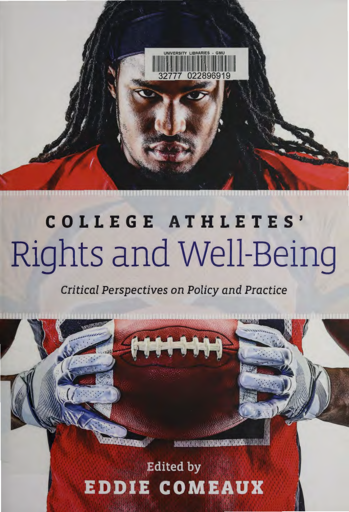

## **COLLEGE ATHLETES'**  Rights and Well-Being

**Critical Perspectives on Policy and Practice** 

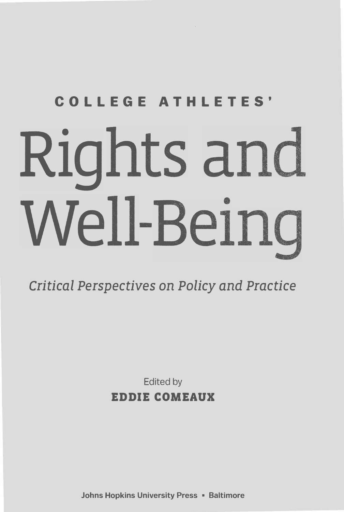# **COLLEGE ATHLETES'**  Rights and Well-Being

### *Critical Perspectives* on *Policy* and *Practice*

Edited **by EDDIE COMEAUX** 

**Johns Hopkins University Press • Baltimore**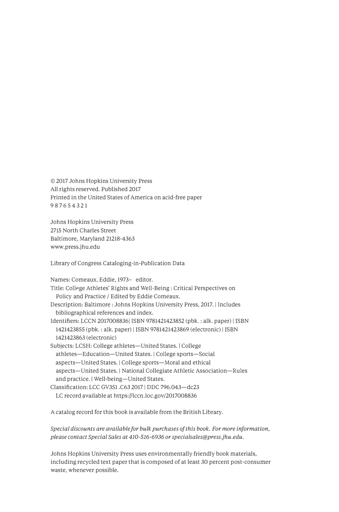© 2017 Johns Hopkins University Press All rights reserved. Published 2017 Printed in the United States of America on acid-free paper 987654 321

Johns Hopkins University Press 2715 North Charles Street Baltimore, Maryland 21218-4363 www.press.jhu.edu

Library of Congress Cataloging-in-Publication Data

Names: Comeaux, Eddie, 1973- editor. Title: College Athletes' Rights and Well-Being : Critical Perspectives on Policy and Practice / Edited by Eddie Comeaux. Description: Baltimore : Johns Hopkins University Press, 2017. I Includes bibliographical references and index. Identifiers: LCCN 2017008836| ISBN 9781421423852 (pbk.: alk. paper) | ISBN 1421423855 (pbk. : alk. paper) I ISBN 9781421423869 (electronic) I ISBN 1421423863 (electronic) Subjects: LCSH: College athletes-United States. | College athletes-Education-United States. I College sports-Social aspects-United States. | College sports-Moral and ethical aspects-United States. I National Collegiate Athletic Association-Rules and practice. | Well-being-United States. Classification: LCC GV351 .C63 2017 I DDC 796.043-dc23 LC record available at https://lccn.loc.gov/2017008836

A catalog record for this book is available from the British Library.

*Special discounts are available for bulk purchases of this book. For more information, please contact Special Sales at 410-516-6936 or specialsales@press.jhu.edu.* 

Johns Hopkins University Press uses environmentally friendly book materials, including recycled text paper that is composed of at least 30 percent post-consumer waste, whenever possible.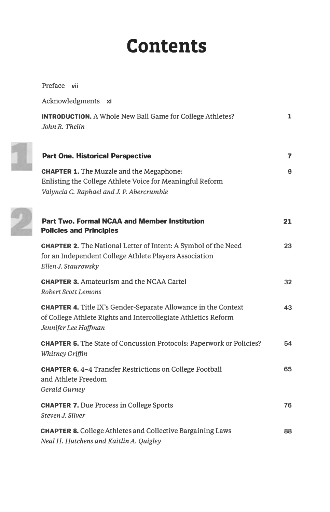## **Contents**

| Preface vii                                                                                                                                                     |              |
|-----------------------------------------------------------------------------------------------------------------------------------------------------------------|--------------|
| Acknowledgments xi                                                                                                                                              |              |
| <b>INTRODUCTION.</b> A Whole New Ball Game for College Athletes?<br>John R. Thelin                                                                              | $\mathbf{1}$ |
| <b>Part One. Historical Perspective</b>                                                                                                                         | 7            |
| <b>CHAPTER 1.</b> The Muzzle and the Megaphone:<br>Enlisting the College Athlete Voice for Meaningful Reform<br>Valyncia C. Raphael and J. P. Abercrumbie       | 9            |
| <b>Part Two. Formal NCAA and Member Institution</b><br><b>Policies and Principles</b>                                                                           | 21           |
| <b>CHAPTER 2.</b> The National Letter of Intent: A Symbol of the Need<br>for an Independent College Athlete Players Association<br>Ellen J. Staurowsky          | 23           |
| <b>CHAPTER 3.</b> Amateurism and the NCAA Cartel<br><b>Robert Scott Lemons</b>                                                                                  | 32           |
| <b>CHAPTER 4.</b> Title IX's Gender-Separate Allowance in the Context<br>of College Athlete Rights and Intercollegiate Athletics Reform<br>Jennifer Lee Hoffman | 43           |
| <b>CHAPTER 5.</b> The State of Concussion Protocols: Paperwork or Policies?<br><b>Whitney Griffin</b>                                                           | 54           |
| <b>CHAPTER 6.4-4 Transfer Restrictions on College Football</b><br>and Athlete Freedom<br><b>Gerald Gurney</b>                                                   | 65           |
| <b>CHAPTER 7.</b> Due Process in College Sports<br>Steven J. Silver                                                                                             | 76           |
| <b>CHAPTER 8. College Athletes and Collective Bargaining Laws</b><br>Neal H. Hutchens and Kaitlin A. Quigley                                                    | 88           |

1

 $\mathcal{D}$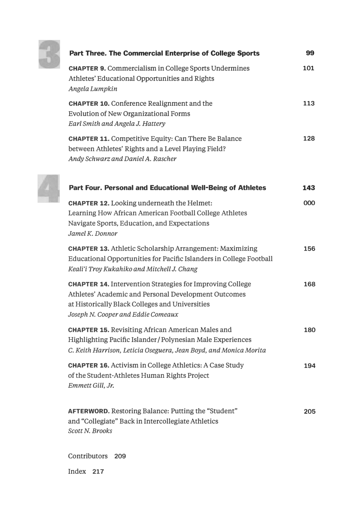

4

| <b>Part Three. The Commercial Enterprise of College Sports</b>                                                                                                                                                    | 99  |
|-------------------------------------------------------------------------------------------------------------------------------------------------------------------------------------------------------------------|-----|
| <b>CHAPTER 9. Commercialism in College Sports Undermines</b><br>Athletes' Educational Opportunities and Rights<br>Angela Lumpkin                                                                                  | 101 |
| <b>CHAPTER 10.</b> Conference Realignment and the<br><b>Evolution of New Organizational Forms</b><br>Earl Smith and Angela J. Hattery                                                                             | 113 |
| <b>CHAPTER 11. Competitive Equity: Can There Be Balance</b><br>between Athletes' Rights and a Level Playing Field?<br>Andy Schwarz and Daniel A. Rascher                                                          | 128 |
| Part Four. Personal and Educational Well-Being of Athletes                                                                                                                                                        | 143 |
| <b>CHAPTER 12.</b> Looking underneath the Helmet:<br>Learning How African American Football College Athletes<br>Navigate Sports, Education, and Expectations<br>Jamel K. Donnor                                   | 000 |
| <b>CHAPTER 13.</b> Athletic Scholarship Arrangement: Maximizing<br>Educational Opportunities for Pacific Islanders in College Football<br>Keali'i Troy Kukahiko and Mitchell J. Chang                             | 156 |
| <b>CHAPTER 14. Intervention Strategies for Improving College</b><br>Athletes' Academic and Personal Development Outcomes<br>at Historically Black Colleges and Universities<br>Joseph N. Cooper and Eddie Comeaux | 168 |
| <b>CHAPTER 15. Revisiting African American Males and</b><br><b>Highlighting Pacific Islander/Polynesian Male Experiences</b><br>C. Keith Harrison, Leticia Oseguera, Jean Boyd, and Monica Morita                 | 180 |
| <b>CHAPTER 16.</b> Activism in College Athletics: A Case Study<br>of the Student-Athletes Human Rights Project<br>Emmett Gill, Jr.                                                                                | 194 |
| <b>AFTERWORD.</b> Restoring Balance: Putting the "Student"<br>and "Collegiate" Back in Intercollegiate Athletics<br><b>Scott N. Brooks</b>                                                                        | 205 |

Contributors 209

Index 217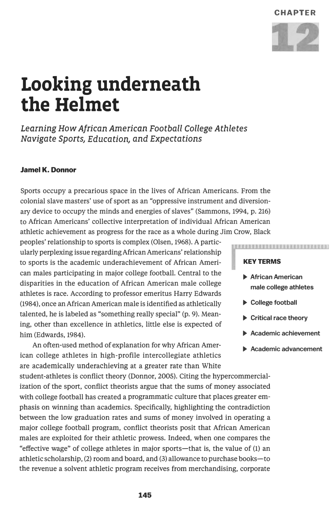

## **Looking underneath the Helmet**

Learning How *African* American *Football College Athletes Navigate SportsJ EducationJ and Expectations* 

#### **Jamel K. Donnor**

Sports occupy a precarious space in the lives of African Americans. From the colonial slave masters' use of sport as an "oppressive instrument and diversionary device to occupy the minds and energies of slaves" (Sammons, 1994, p. 216) to African Americans' collective interpretation of individual African American athletic achievement as progress for the race as a whole during Jim Crow, Black

peoples' relationship to sports is complex (Olsen, 1968). A particularly perplexing issue regarding African Americans' relationship to sports is the academic underachievement of African American males participating in major college football. Central to the disparities in the education of African American male college athletes is race. According to professor emeritus Harry Edwards (1984), once an African American male is identified as athletically talented, he is labeled as "something really special" (p. 9). Meaning, other than excellence in athletics, little else is expected of him (Edwards, 1984).

An often-used method of explanation for why African American college athletes in high-profile intercollegiate athletics are academically underachieving at a greater rate than White

student-athletes is conflict theory (Donnor, 2005). Citing the hypercommercialization of the sport, conflict theorists argue that the sums of money associated with college football has created a programmatic culture that places greater emphasis on winning than academics. Specifically, highlighting the contradiction between the low graduation rates and sums of money involved in operating a major college football program, conflict theorists posit that African American males are exploited for their athletic prowess. Indeed, when one compares the "effective wage" of college athletes in major sports-that is, the value of (1) an athletic scholarship, (2) room and board, and (3) allowance to purchase books-to the revenue a solvent athletic program receives from merchandising, corporate

#### **KEYTERMS**

**► African American male college athletes** 

NEMENTOS ESSESERENTES ESTADO

- **► College football**
- **► Critical race theory**
- **► Academic achievement**
- **► Academic advancement**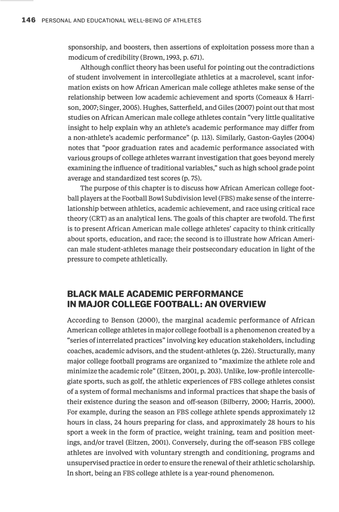sponsorship, and boosters, then assertions of exploitation possess more than a modicum of credibility (Brown, 1993, p. 671).

Although conflict theory has been useful for pointing out the contradictions of student involvement in intercollegiate athletics at a macrolevel, scant information exists on how African American male college athletes make sense of the relationship between low academic achievement and sports (Comeaux & Harrison, 2007; Singer, 2005). Hughes, Satterfield, and Giles (2007) point out that most studies on African American male college athletes contain "very little qualitative insight to help explain why an athlete's academic performance may differ from a non-athlete's academic performance" (p. 113). Similarly, Gaston-Gayles (2004) notes that "poor graduation rates and academic performance associated with various groups of college athletes warrant investigation that goes beyond merely examining the influence of traditional variables," such as high school grade point average and standardized test scores (p. 75).

The purpose of this chapter is to discuss how African American college football players at the Football Bowl Subdivision level (FBS) make sense of the interrelationship between athletics, academic achievement, and race using critical race theory (CRT) as an analytical lens. The goals of this chapter are twofold. The first is to present African American male college athletes' capacity to think critically about sports, education, and race; the second is to illustrate how African American male student-athletes manage their postsecondary education in light of the pressure to compete athletically.

#### **BLACK MALE ACADEMIC PERFORMANCE IN MAJOR COLLEGE FOOTBALL: AN OVERVIEW**

According to Benson (2000), the marginal academic performance of African American college athletes in major college football is a phenomenon created by a "series of interrelated practices" involving key education stakeholders, including coaches, academic advisors, and the student-athletes (p. 226). Structurally, many major college football programs are organized to "maximize the athlete role and minimize the academic role" (Eitzen, 2001, p. 203). Unlike, low-profile intercollegiate sports, such as golf, the athletic experiences of FBS college athletes consist of a system of formal mechanisms and informal practices that shape the basis of their existence during the season and off-season (Bilberry, 2000; Harris, 2000). For example, during the season an FBS college athlete spends approximately 12 hours in class, 24 hours preparing for class, and approximately 28 hours to his sport a week in the form of practice, weight training, team and position meetings, and/or travel (Eitzen, 2001). Conversely, during the off-season FBS college athletes are involved with voluntary strength and conditioning, programs and unsupervised practice in order to ensure the renewal of their athletic scholarship. In short, being an FBS college athlete is a year-round phenomenon.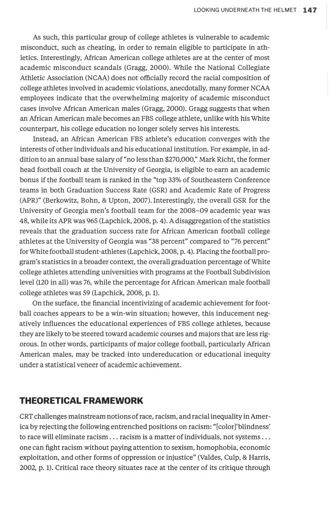As such, this particular group of college athletes is vulnerable to academic misconduct, such as cheating, in order to remain eligible to participate in athletics. Interestingly, African American college athletes are at the center of most academic misconduct scandals (Gragg, 2000). While the National Collegiate Athletic Association (NCAA) does not officially record the racial composition of college athletes involved in academic violations, anecdotally, many former NCAA employees indicate that the overwhelming majority of academic misconduct cases involve African American males (Gragg, 2000). Gragg suggests that when an African American male becomes an FBS college athlete, unlike with his White counterpart, his college education no longer solely serves his interests.

Instead, an African American FBS athlete's education converges with the interests of other individuals and his educational institution. For example, in addition to an annual base salary of "no less than \$270,000," Mark Richt, the former head football coach at the University of Georgia, is eligible to earn an academic bonus if the football team is ranked in the "top 33% of Southeastern Conference teams in both Graduation Success Rate (GSR) and Academic Rate of Progress (APR)" (Berkowitz, Bohn, & Upton, 2007). Interestingly, the overall GSR for the University of Georgia men's football team for the 2008-09 academic year was 48, while its APR was 965 (Lapchick, 2008, p. 4). A disaggregation of the statistics reveals that the graduation success rate for African American football college athletes at the University of Georgia was "38 percent" compared to "76 percent" for White football student-athletes (Lapchick, 2008, p. 4). Placing the football program's statistics in a broader context, the overall graduation percentage of White college athletes attending universities with programs at the Football Subdivision level (120 in all) was 76, while the percentage for African American male football college athletes was 59 (Lapchick, 2008, p.1).

On the surface, the financial incentivizing of academic achievement for football coaches appears to be a win-win situation; however, this inducement negatively influences the educational experiences of FBS college athletes, because they are likely to be steered toward academic courses and majors that are less rigorous. In other words, participants of major college football, particularly African American males, may be tracked into undereducation or educational inequity under a statistical veneer of academic achievement.

#### **THEORETICAL FRAMEWORK**

CRT challenges mainstream notions of race, racism, and racial inequality in America by rejecting the following entrenched positions on racism: "[color]'blindness' to race will eliminate racism ... racism is a matter of individuals, not systems ... one can fight racism without paying attention to sexism, homophobia, economic exploitation, and other forms of oppression or injustice" (Valdes, Culp, & Harris, 2002, p. 1). Critical race theory situates race at the center of its critique through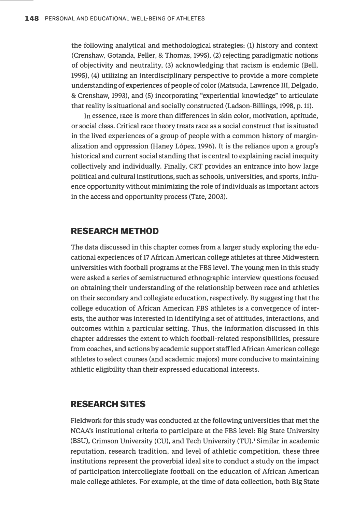**the following analytical and methodological strategies: (1) history and context ( Crenshaw, Gotanda, Peller, & Thomas, 1995), (2) rejecting paradigmatic notions of objectivity and neutrality, (3) acknowledging that racism is endemic (Bell, 1995), (4) utilizing an interdisciplinary perspective to provide a more complete understanding of experiences of people of color (Matsuda, Lawrence III, Delgado, & Crenshaw, 1993), and (5) incorporating "experiential knowledge" to articulate that reality is situational and socially constructed (Ladson-Billings, 1998, p.11).** 

**In essence, race is more than differences in skin color, motivation, aptitude, or social class. Critical race theory treats race as a social construct that is situated in the lived experiences of a group of people with a common history of marginalization and oppression (Haney Lopez, 1996). It is the reliance upon a group's historical and current social standing that is central to explaining racial inequity collectively and individually. Finally, CRT provides an entrance into how large political and cultural institutions, such as schools, universities, and sports, influence opportunity without minimizing the role of individuals as important actors in the access and opportunity process (Tate, 2003).** 

#### **RESEARCH METHOD**

**The data discussed in this chapter comes from a larger study exploring the educational experiences of 17 African American college athletes at three Midwestern universities with football programs at the FBS level. The young men in this study were asked a series of semistructured ethnographic interview questions focused on obtaining their understanding of the relationship between race and athletics on their secondary and collegiate education, respectively. By suggesting that the college education of African American FBS athletes is a convergence of interests, the author was interested in identifying a set of attitudes, interactions, and outcomes within a particular setting. Thus, the information discussed in this chapter addresses the extent to which football-related responsibilities, pressure from coaches, and actions by academic support staff led African American college athletes to select courses (and academic majors) more conducive to maintaining athletic eligibility than their expressed educational interests.** 

#### **RESEARCH SITES**

**Fieldwork for this study was conducted at the following universities that met the NCAA's institutional criteria to participate at the FBS level: Big State University (BSU), Crimson University (CU}, and Tech University (TU).1 Similar in academic reputation, research tradition, and level of athletic competition, these three institutions represent the proverbial ideal site to conduct a study on the impact of participation intercollegiate football on the education of African American male college athletes. For example, at the time of data collection, both Big State**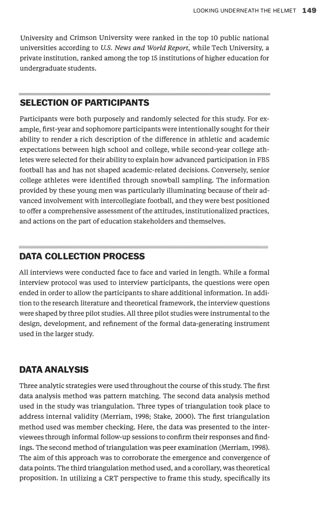University and Crimson University were ranked in the top 10 public national universities according to *U.S. News and World Report*, while Tech University, a private institution, ranked among the top 15 institutions of higher education for undergraduate students.

#### **SELECTION OF PARTICIPANTS**

Participants were both purposely and randomly selected for this study. For example, first-year and sophomore participants were intentionally sought for their ability to render a rich description of the difference in athletic and academic expectations between high school and college, while second-year college athletes were selected for their ability to explain how advanced participation in FBS football has and has not shaped academic-related decisions. Conversely, senior college athletes were identified through snowball sampling. The information provided by these young men was particularly illuminating because of their advanced involvement with intercollegiate football, and they were best positioned to offer a comprehensive assessment of the attitudes, institutionalized practices, and actions on the part of education stakeholders and themselves.

#### **DATA COLLECTION PROCESS**

All interviews were conducted face to face and varied in length. While a formal interview protocol was used to interview participants, the questions were open ended in order to allow the participants to share additional information. In addition to the research literature and theoretical framework, the interview questions were shaped by three pilot studies. All three pilot studies were instrumental to the design, development, and refinement of the formal data-generating instrument used in the larger study.

#### **DATA ANALYSIS**

Three analytic strategies were used throughout the course of this study. The first data analysis method was pattern matching. The second data analysis method used in the study was triangulation. Three types of triangulation took place to address internal validity (Merriam, 1998; Stake, 2000). The first triangulation method used was member checking. Here, the data was presented to the interviewees through informal follow-up sessions to confirm their responses and findings. The second method of triangulation was peer examination (Merriam, 1998). The aim of this approach was to corroborate the emergence and convergence of data points. The third triangulation method used, and a corollary, was theoretical proposition. In utilizing a CRT perspective to frame this study, specifically its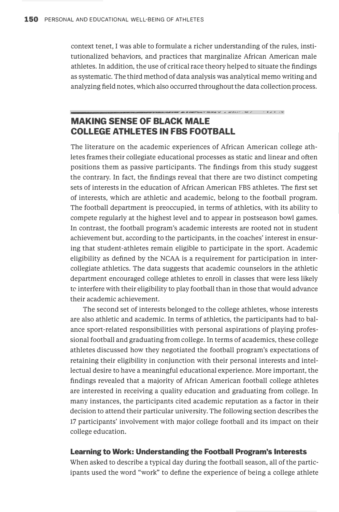context tenet, I was able to formulate a richer understanding of the rules, institutionalized behaviors, and practices that marginalize African American male athletes. In addition, the use of critical race theory helped to situate the findings as systematic. The third method of data analysis was analytical memo writing and analyzing field notes, which also occurred throughout the data collection process.

#### **MAKING SENSE OF BLACK MALE COLLEGE ATHLETES IN FBS FOOTBALL**

The literature on the academic experiences of African American college athletes frames their collegiate educational processes as static and linear and often positions them as passive participants. The findings from this study suggest the contrary. In fact, the findings reveal that there are two distinct competing sets of interests in the education of African American FBS athletes. The first set of interests, which are athletic and academic, belong to the football program. The football department is preoccupied, in terms of athletics, with its ability to compete regularly at the highest level and to appear in postseason bowl games. In contrast, the football program's academic interests are rooted not in student achievement but, according to the participants, in the coaches' interest in ensuring that student-athletes remain eligible to participate in the sport. Academic eligibility as defined by the NCAA is a requirement for participation in intercollegiate athletics. The data suggests that academic counselors in the athletic department encouraged college athletes to enroll in classes that were less likely tc interfere with their eligibility to play football than in those that would advance their academic achievement.

The second set of interests belonged to the college athletes, whose interests are also athletic and academic. In terms of athletics, the participants had to balance sport-related responsibilities with personal aspirations of playing professional football and graduating from college. In terms of academics, these college athletes discussed how they negotiated the football program's expectations of retaining their eligibility in conjunction with their personal interests and intellectual desire to have a meaningful educational experience. More important, the findings revealed that a majority of African American football college athletes are interested in receiving a quality education and graduating from college. In many instances, the participants cited academic reputation as a factor in their decision to attend their particular university. The following section describes the 17 participants' involvement with major college football and its impact on their college education.

#### **Learning to Work: Understanding the Football Program's Interests**

When asked to describe a typical day during the football season, all of the participants used the word "work" to define the experience of being a college athlete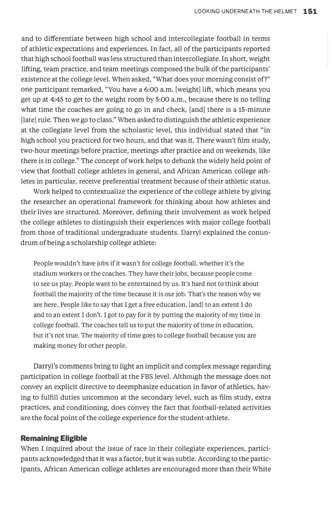and to differentiate between high school and intercollegiate football in terms of athletic expectations and experiences. In fact, all of the participants reported that high school football was less structured than intercollegiate. In short, weight lifting, team practice, and team meetings composed the bulk of the participants' existence at the college level. When asked, "What does your morning consist of?" one participant remarked, "You have a 6:00 a.m. [weight] lift, which means you get up at 4:45 to get to the weight room by 5:00 a.m., because there is no telling what time the coaches are going to go in and check, [and] there is a 15-minute [late] rule. Then we go to class." When asked to distinguish the athletic experience at the collegiate level from the scholastic level, this individual stated that "in high school you practiced for two hours, and that was it. There wasn't film study, two-hour meetings before practice, meetings after practice and on weekends, like there is in college." The concept of work helps to debunk the widely held point of view that football college athletes in general, and African American college athletes in particular, receive preferential treatment because of their athletic status.

Work helped to contextualize the experience of the college athlete by giving the researcher an operational framework for thinking about how athletes and their lives are structured. Moreover, defining their involvement as work helped the college athletes to distinguish their experiences with major college football from those of traditional undergraduate students. Darryl explained the conundrum of being a scholarship college athlete:

People wouldn't have jobs if it wasn't for college football, whether it's the stadium workers or the coaches. They have their jobs, because people come to see us play. People want to be entertained by us. It's hard not to think about football the majority of the time because it is our job. That's the reason why we are here. People like to say that I get a free education, [and] to an extent I do and to an extent I don't. I got to pay for it by putting the majority of my time in college football. The coaches tell us to put the majority of time in education, but it's not true. The majority of time goes to college football because you are making money for other people.

Darryl's comments bring to light an implicit and complex message regarding participation in college football at the FBS level. Although the message does not convey an explicit directive to deemphasize education in favor of athletics, having to fulfill duties uncommon at the secondary level, such as film study, extra practices, and conditioning, does convey the fact that football-related activities are the focal point of the college experience for the student-athlete.

#### **Remaining Eligible**

When I inquired about the issue of race in their collegiate experiences, participants acknowledged that it was a factor, but it was subtle. According to the participants, African American college athletes are encouraged more than their White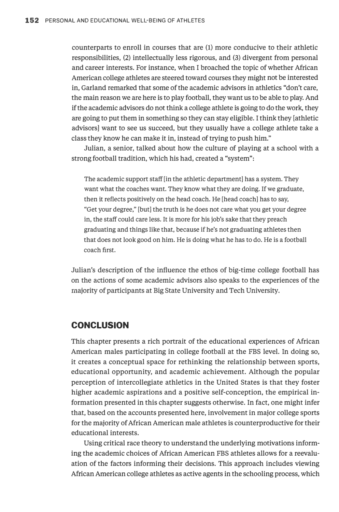**counterparts to enroll in courses that are** (1) **more conducive to their athletic responsibilities, (2) intellectually less rigorous, and (3) divergent from personal and career interests. For instance, when I broached the topic of whether African American college athletes are steered toward courses they might not be interested in, Garland remarked that some of the academic advisors in athletics "don't care, the main reason we are here is to play football, they want us to be able to play. And if the academic advisors do not think a college athlete is going to do the work, they are going to put them in something so they can stay eligible. I think they [athletic advisors] want to see us succeed, but they usually have a college athlete take a class they know he can make it in, instead of trying to push him."** 

**Julian, a senior, talked about how the culture of playing at a school with a strong football tradition, which his had, created a "system":** 

The academic support staff [in the athletic department] has a system. They want what the coaches want. They know what they are doing. If we graduate, then it reflects positively on the head coach. He [head coach] has to say, "Get your degree," [but] the truth is he does not care what you get your degree in, the staff could care less. It is more for his job's sake that they preach graduating and things like that, because if he's not graduating athletes then that does not look good on him. He is doing what he has to do. He is a football coach first.

**Julian's description of the influence the ethos of big-time college football has on the actions of some academic advisors also speaks to the experiences of the majority of participants at Big State University and Tech University.** 

#### **CONCLUSION**

**This chapter presents a rich portrait of the educational experiences of African American males participating in college football at the FBS level. In doing so, it creates a conceptual space for rethinking the relationship between sports, educational opportunity, and academic achievement. Although the popular perception of intercollegiate athletics in the United States is that they foster higher academic aspirations and a positive self-conception, the empirical information presented in this chapter suggests otherwise. In fact, one might infer that, based on the accounts presented here, involvement in major college sports for the majority of African American male athletes is counterproductive for their educational interests.** 

**Using critical race theory to understand the underlying motivations informing the academic choices of African American FBS athletes allows for a reevaluation of the factors informing their decisions. This approach includes viewing African American college athletes as active agents in the schooling process, which**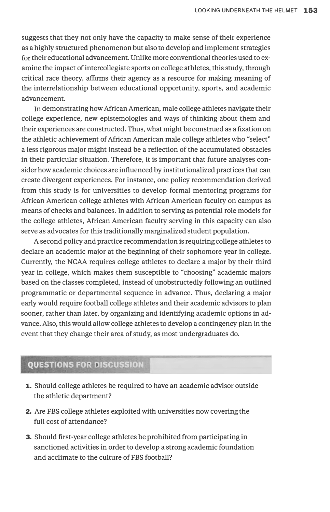suggests that they not only have the capacity to make sense of their experience as a highly structured phenomenon but also to develop and implement strategies for their educational advancement. Unlike more conventional theories used to examine the impact of intercollegiate sports on college athletes, this study, through critical race theory, affirms their agency as a resource for making meaning of the interrelationship between educational opportunity, sports, and academic advancement.

In demonstrating how African American, male college athletes navigate their college experience, new epistemologies and ways of thinking about them and their experiences are constructed. Thus, what might be construed as a fixation on the athletic achievement of African American male college athletes who "select" a less rigorous major might instead be a reflection of the accumulated obstacles in their particular situation. Therefore, it is important that future analyses consider how academic choices are influenced by institutionalized practices that can create divergent experiences. For instance, one policy recommendation derived from this study is for universities to develop formal mentoring programs for African American college athletes with African American faculty on campus as means of checks and balances. In addition to serving as potential role models for the college athletes, African American faculty serving in this capacity can also serve as advocates for this traditionally marginalized student population.

A second policy and practice recommendation is requiring college athletes to declare an academic major at the beginning of their sophomore year in college. Currently, the NCAA requires college athletes to declare a major by their third year in college, which makes them susceptible to "choosing" academic majors based on the classes completed, instead of unobstructedly following an outlined programmatic or departmental sequence in advance. Thus, declaring a major early would require football college athletes and their academic advisors to plan sooner, rather than later, by organizing and identifying academic options in advance. Also, this would allow college athletes to develop a contingency plan in the event that they change their area of study, as most undergraduates do.

#### **QUESTIONS FOR DISCUSSION**

- **1.** Should college athletes be required to have an academic advisor outside the athletic department?
- 2. Are FBS college athletes exploited with universities now covering the full cost of attendance?
- 3. Should first-year college athletes be prohibited from participating in sanctioned activities in order to develop a strong academic foundation and acclimate to the culture of FBS football?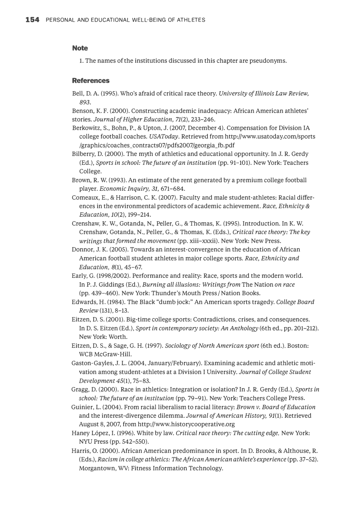#### **Note**

1. The names of the institutions discussed in this chapter are pseudonyms.

#### **References**

- Bell, D. A. (1995). Who's afraid of critical race theory. *University of Illinois Law Review, 893.*
- Benson, K. F. (2000). Constructing academic inadequacy: African American athletes' stories. *Journal of Higher Education,* 71(2), 233-246.
- Berkowitz, S., Bohn, P., & Upton, J. (2007, December 4). Compensation for Division IA college football coaches. *USAToday.* Retrieved from http://www.usatoday.com/sports /graphics/coaches\_contracts07/pdfs2007/georgia\_fb.pdf
- Bilberry, D. (2000). The myth of athletics and educational opportunity. In J. R. Gerdy (Ed.), *Sports in school: The future of an institution* (pp. 91-101). New York: Teachers College.
- Brown, R. W. (1993). An estimate of the rent generated by a premium college football player. *Economic Inquiry, 31,* 671-684.
- Comeaux, E., & Harrison, C. K. (2007). Faculty and male student-athletes: Racial differences in the environmental predictors of academic achievement. *Race, Ethnicity* & *Education,* 10(2), 199-214.
- Crenshaw, K. W., Gotanda, N., Peller, G., & Thomas, K. (1995). Introduction. In K. W. Crenshaw, Gotanda, N., Peller, G., & Thomas, K. (Eds.), *Critical race theory: The key writings that formed the movement* (pp. xiii-xxxii). New York: New Press.
- Donnor, J. K. (2005). Towards an interest-convergence in the education of African American football student athletes in major college sports. *Race, Ethnicity and Education,* 8(1), 45-67.
- Early, G. (1998/2002). Performance and reality: Race, sports and the modern world. In P. J. Giddings (Ed.), *Burning all illusions: Writings from* The Nation *on race*  (pp. 439-460). New York: Thunder's Mouth Press/Nation Books.
- Edwards, H. (1984). The Black "dumb jock:" An American sports tragedy. *College Board Review* (131), 8-13.
- Eitzen, D. S. (2001). Big-time college sports: Contradictions, crises, and consequences. In D.S. Eitzen (Ed.), *Sport in contemporary society: An Anthology* (6th ed., pp. 201-212). New York: Worth.
- Eitzen, D.S., & Sage, G. H. (1997). *Sociology of North American sport* (6th ed.). Boston: WCB McGraw-Hill.
- Gaston-Gayles, J. L. (2004, January/February). Examining academic and athletic motivation among student-athletes at a Division I University. *Journal of College Student Development* 45(1), 75-83.
- Gragg, D. (2000). Race in athletics: Integration or isolation? In J. R. Gerdy (Ed.), *Sports in school: The future of an institution* (pp. 79-91). New York: Teachers College Press.
- Guinier, L. (2004). From racial liberalism to racial literacy: *Brown v. Board of Education*  and the interest-divergence dilemma. *Journal of American History,* 91(1). Retrieved August 8, 2007, from http://www.historycooperative.org
- Haney Lopez, I. (1996). White by law. *Critical race theory: The cutting edge.* New York: NYU Press (pp. 542-550).
- Harris, 0. (2000). African American predominance in sport. In D. Brooks, & Althouse, R. (Eds.), *Racism in college athletics: The African American athlete's experience* (pp. 37-52). Morgantown, WV: Fitness Information Technology.